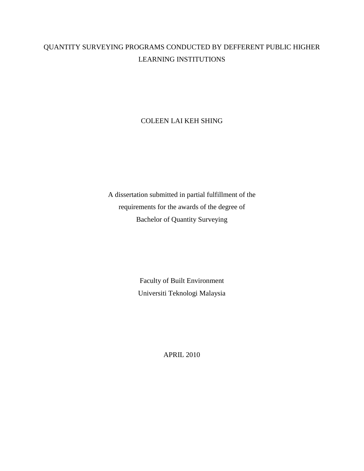## QUANTITY SURVEYING PROGRAMS CONDUCTED BY DEFFERENT PUBLIC HIGHER LEARNING INSTITUTIONS

## COLEEN LAI KEH SHING

A dissertation submitted in partial fulfillment of the requirements for the awards of the degree of Bachelor of Quantity Surveying

> Faculty of Built Environment Universiti Teknologi Malaysia

> > APRIL 2010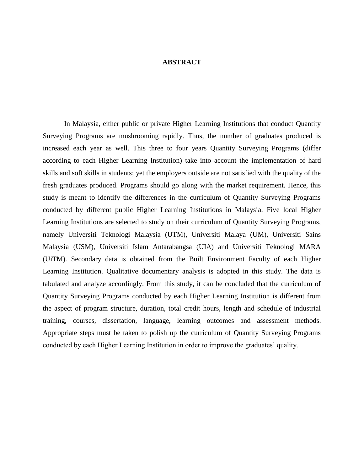## **ABSTRACT**

In Malaysia, either public or private Higher Learning Institutions that conduct Quantity Surveying Programs are mushrooming rapidly. Thus, the number of graduates produced is increased each year as well. This three to four years Quantity Surveying Programs (differ according to each Higher Learning Institution) take into account the implementation of hard skills and soft skills in students; yet the employers outside are not satisfied with the quality of the fresh graduates produced. Programs should go along with the market requirement. Hence, this study is meant to identify the differences in the curriculum of Quantity Surveying Programs conducted by different public Higher Learning Institutions in Malaysia. Five local Higher Learning Institutions are selected to study on their curriculum of Quantity Surveying Programs, namely Universiti Teknologi Malaysia (UTM), Universiti Malaya (UM), Universiti Sains Malaysia (USM), Universiti Islam Antarabangsa (UIA) and Universiti Teknologi MARA (UiTM). Secondary data is obtained from the Built Environment Faculty of each Higher Learning Institution. Qualitative documentary analysis is adopted in this study. The data is tabulated and analyze accordingly. From this study, it can be concluded that the curriculum of Quantity Surveying Programs conducted by each Higher Learning Institution is different from the aspect of program structure, duration, total credit hours, length and schedule of industrial training, courses, dissertation, language, learning outcomes and assessment methods. Appropriate steps must be taken to polish up the curriculum of Quantity Surveying Programs conducted by each Higher Learning Institution in order to improve the graduates' quality.